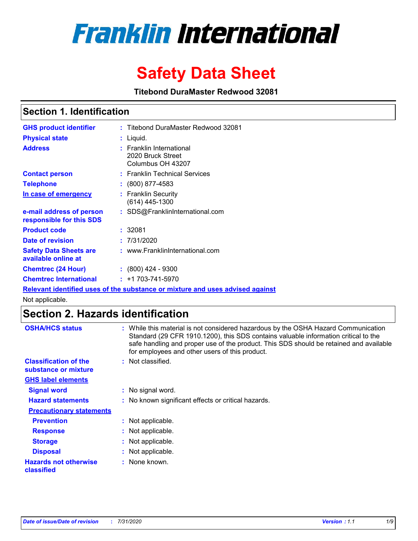# **Franklin International**

# **Safety Data Sheet**

**Titebond DuraMaster Redwood 32081**

# **Section 1. Identification**

| <b>GHS product identifier</b>                        | : Titebond DuraMaster Redwood 32081                                           |
|------------------------------------------------------|-------------------------------------------------------------------------------|
| <b>Physical state</b>                                | : Liquid.                                                                     |
| <b>Address</b>                                       | : Franklin International<br>2020 Bruck Street<br>Columbus OH 43207            |
| <b>Contact person</b>                                | : Franklin Technical Services                                                 |
| <b>Telephone</b>                                     | $\colon$ (800) 877-4583                                                       |
| In case of emergency                                 | : Franklin Security<br>$(614)$ 445-1300                                       |
| e-mail address of person<br>responsible for this SDS | : SDS@FranklinInternational.com                                               |
| <b>Product code</b>                                  | :32081                                                                        |
| Date of revision                                     | : 7/31/2020                                                                   |
| <b>Safety Data Sheets are</b><br>available online at | : www.FranklinInternational.com                                               |
| <b>Chemtrec (24 Hour)</b>                            | $: (800)$ 424 - 9300                                                          |
| <b>Chemtrec International</b>                        | $: +1703 - 741 - 5970$                                                        |
|                                                      | Relevant identified uses of the substance or mixture and uses advised against |

Not applicable.

# **Section 2. Hazards identification**

| <b>OSHA/HCS status</b>                               | While this material is not considered hazardous by the OSHA Hazard Communication<br>Standard (29 CFR 1910.1200), this SDS contains valuable information critical to the<br>safe handling and proper use of the product. This SDS should be retained and available<br>for employees and other users of this product. |
|------------------------------------------------------|---------------------------------------------------------------------------------------------------------------------------------------------------------------------------------------------------------------------------------------------------------------------------------------------------------------------|
| <b>Classification of the</b><br>substance or mixture | : Not classified.                                                                                                                                                                                                                                                                                                   |
| <b>GHS label elements</b>                            |                                                                                                                                                                                                                                                                                                                     |
| <b>Signal word</b>                                   | : No signal word.                                                                                                                                                                                                                                                                                                   |
| <b>Hazard statements</b>                             | : No known significant effects or critical hazards.                                                                                                                                                                                                                                                                 |
| <b>Precautionary statements</b>                      |                                                                                                                                                                                                                                                                                                                     |
| <b>Prevention</b>                                    | : Not applicable.                                                                                                                                                                                                                                                                                                   |
| <b>Response</b>                                      | : Not applicable.                                                                                                                                                                                                                                                                                                   |
| <b>Storage</b>                                       | : Not applicable.                                                                                                                                                                                                                                                                                                   |
| <b>Disposal</b>                                      | : Not applicable.                                                                                                                                                                                                                                                                                                   |
| <b>Hazards not otherwise</b><br>classified           | : None known.                                                                                                                                                                                                                                                                                                       |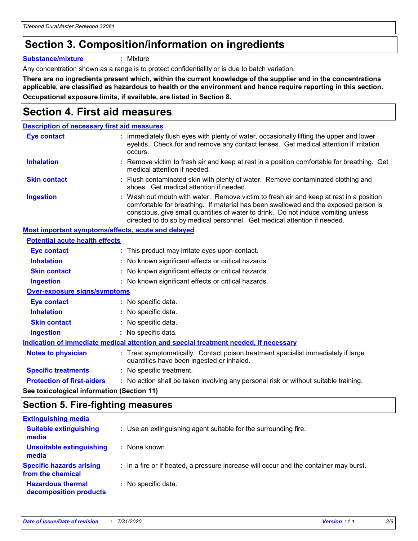# **Section 3. Composition/information on ingredients**

**Substance/mixture :** Mixture

Any concentration shown as a range is to protect confidentiality or is due to batch variation.

**There are no ingredients present which, within the current knowledge of the supplier and in the concentrations applicable, are classified as hazardous to health or the environment and hence require reporting in this section. Occupational exposure limits, if available, are listed in Section 8.**

# **Section 4. First aid measures**

| <b>Description of necessary first aid measures</b> |                                                           |                                                                                                                                                                                                                                                                                                                                                |  |  |
|----------------------------------------------------|-----------------------------------------------------------|------------------------------------------------------------------------------------------------------------------------------------------------------------------------------------------------------------------------------------------------------------------------------------------------------------------------------------------------|--|--|
| <b>Eye contact</b>                                 |                                                           | : Immediately flush eyes with plenty of water, occasionally lifting the upper and lower<br>eyelids. Check for and remove any contact lenses. Get medical attention if irritation<br>occurs.                                                                                                                                                    |  |  |
| <b>Inhalation</b>                                  |                                                           | : Remove victim to fresh air and keep at rest in a position comfortable for breathing. Get<br>medical attention if needed.                                                                                                                                                                                                                     |  |  |
| <b>Skin contact</b>                                |                                                           | : Flush contaminated skin with plenty of water. Remove contaminated clothing and<br>shoes. Get medical attention if needed.                                                                                                                                                                                                                    |  |  |
| <b>Ingestion</b>                                   |                                                           | : Wash out mouth with water. Remove victim to fresh air and keep at rest in a position<br>comfortable for breathing. If material has been swallowed and the exposed person is<br>conscious, give small quantities of water to drink. Do not induce vomiting unless<br>directed to do so by medical personnel. Get medical attention if needed. |  |  |
|                                                    | <b>Most important symptoms/effects, acute and delayed</b> |                                                                                                                                                                                                                                                                                                                                                |  |  |
| <b>Potential acute health effects</b>              |                                                           |                                                                                                                                                                                                                                                                                                                                                |  |  |
| <b>Eye contact</b>                                 |                                                           | : This product may irritate eyes upon contact.                                                                                                                                                                                                                                                                                                 |  |  |
| <b>Inhalation</b>                                  |                                                           | : No known significant effects or critical hazards.                                                                                                                                                                                                                                                                                            |  |  |
| <b>Skin contact</b>                                |                                                           | : No known significant effects or critical hazards.                                                                                                                                                                                                                                                                                            |  |  |
| <b>Ingestion</b>                                   |                                                           | : No known significant effects or critical hazards.                                                                                                                                                                                                                                                                                            |  |  |
| <b>Over-exposure signs/symptoms</b>                |                                                           |                                                                                                                                                                                                                                                                                                                                                |  |  |
| Eye contact                                        |                                                           | : No specific data.                                                                                                                                                                                                                                                                                                                            |  |  |
| <b>Inhalation</b>                                  |                                                           | : No specific data.                                                                                                                                                                                                                                                                                                                            |  |  |
| <b>Skin contact</b>                                |                                                           | : No specific data.                                                                                                                                                                                                                                                                                                                            |  |  |
| <b>Ingestion</b>                                   |                                                           | : No specific data.                                                                                                                                                                                                                                                                                                                            |  |  |
|                                                    |                                                           | Indication of immediate medical attention and special treatment needed, if necessary                                                                                                                                                                                                                                                           |  |  |
| <b>Notes to physician</b>                          |                                                           | : Treat symptomatically. Contact poison treatment specialist immediately if large<br>quantities have been ingested or inhaled.                                                                                                                                                                                                                 |  |  |
| <b>Specific treatments</b>                         |                                                           | : No specific treatment.                                                                                                                                                                                                                                                                                                                       |  |  |
| <b>Protection of first-aiders</b>                  |                                                           | : No action shall be taken involving any personal risk or without suitable training.                                                                                                                                                                                                                                                           |  |  |
|                                                    |                                                           |                                                                                                                                                                                                                                                                                                                                                |  |  |

**See toxicological information (Section 11)**

### **Section 5. Fire-fighting measures**

| <b>Extinguishing media</b>                           |                                                                                       |
|------------------------------------------------------|---------------------------------------------------------------------------------------|
| <b>Suitable extinguishing</b><br>media               | : Use an extinguishing agent suitable for the surrounding fire.                       |
| Unsuitable extinguishing<br>media                    | : None known.                                                                         |
| <b>Specific hazards arising</b><br>from the chemical | : In a fire or if heated, a pressure increase will occur and the container may burst. |
| <b>Hazardous thermal</b><br>decomposition products   | : No specific data.                                                                   |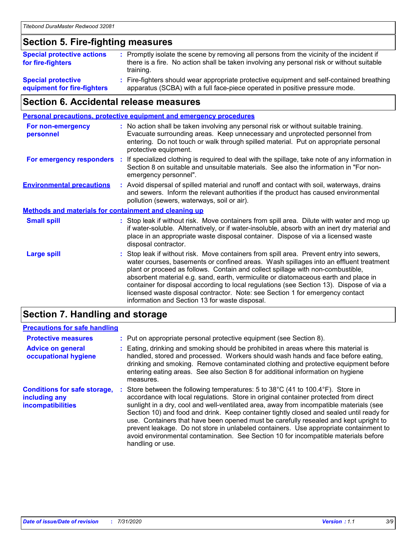### **Section 5. Fire-fighting measures**

| <b>Special protective actions</b><br>for fire-fighters | : Promptly isolate the scene by removing all persons from the vicinity of the incident if<br>there is a fire. No action shall be taken involving any personal risk or without suitable<br>training. |
|--------------------------------------------------------|-----------------------------------------------------------------------------------------------------------------------------------------------------------------------------------------------------|
| <b>Special protective</b>                              | Fire-fighters should wear appropriate protective equipment and self-contained breathing                                                                                                             |
| equipment for fire-fighters                            | apparatus (SCBA) with a full face-piece operated in positive pressure mode.                                                                                                                         |

### **Section 6. Accidental release measures**

| <b>Personal precautions, protective equipment and emergency procedures</b> |    |                                                                                                                                                                                                                                                                                                                                                                                                                                                                                                                                                                                            |  |
|----------------------------------------------------------------------------|----|--------------------------------------------------------------------------------------------------------------------------------------------------------------------------------------------------------------------------------------------------------------------------------------------------------------------------------------------------------------------------------------------------------------------------------------------------------------------------------------------------------------------------------------------------------------------------------------------|--|
| For non-emergency<br>personnel                                             |    | : No action shall be taken involving any personal risk or without suitable training.<br>Evacuate surrounding areas. Keep unnecessary and unprotected personnel from<br>entering. Do not touch or walk through spilled material. Put on appropriate personal<br>protective equipment.                                                                                                                                                                                                                                                                                                       |  |
| For emergency responders                                                   | ÷. | If specialized clothing is required to deal with the spillage, take note of any information in<br>Section 8 on suitable and unsuitable materials. See also the information in "For non-<br>emergency personnel".                                                                                                                                                                                                                                                                                                                                                                           |  |
| <b>Environmental precautions</b>                                           |    | : Avoid dispersal of spilled material and runoff and contact with soil, waterways, drains<br>and sewers. Inform the relevant authorities if the product has caused environmental<br>pollution (sewers, waterways, soil or air).                                                                                                                                                                                                                                                                                                                                                            |  |
| <b>Methods and materials for containment and cleaning up</b>               |    |                                                                                                                                                                                                                                                                                                                                                                                                                                                                                                                                                                                            |  |
| <b>Small spill</b>                                                         |    | : Stop leak if without risk. Move containers from spill area. Dilute with water and mop up<br>if water-soluble. Alternatively, or if water-insoluble, absorb with an inert dry material and<br>place in an appropriate waste disposal container. Dispose of via a licensed waste<br>disposal contractor.                                                                                                                                                                                                                                                                                   |  |
| <b>Large spill</b>                                                         |    | : Stop leak if without risk. Move containers from spill area. Prevent entry into sewers,<br>water courses, basements or confined areas. Wash spillages into an effluent treatment<br>plant or proceed as follows. Contain and collect spillage with non-combustible,<br>absorbent material e.g. sand, earth, vermiculite or diatomaceous earth and place in<br>container for disposal according to local regulations (see Section 13). Dispose of via a<br>licensed waste disposal contractor. Note: see Section 1 for emergency contact<br>information and Section 13 for waste disposal. |  |
|                                                                            |    |                                                                                                                                                                                                                                                                                                                                                                                                                                                                                                                                                                                            |  |

### **Section 7. Handling and storage**

### **Precautions for safe handling**

| <b>Protective measures</b>                                                       | : Put on appropriate personal protective equipment (see Section 8).                                                                                                                                                                                                                                                                                                                                                                                                                                                                                                                                                                                      |
|----------------------------------------------------------------------------------|----------------------------------------------------------------------------------------------------------------------------------------------------------------------------------------------------------------------------------------------------------------------------------------------------------------------------------------------------------------------------------------------------------------------------------------------------------------------------------------------------------------------------------------------------------------------------------------------------------------------------------------------------------|
| <b>Advice on general</b><br>occupational hygiene                                 | : Eating, drinking and smoking should be prohibited in areas where this material is<br>handled, stored and processed. Workers should wash hands and face before eating,<br>drinking and smoking. Remove contaminated clothing and protective equipment before<br>entering eating areas. See also Section 8 for additional information on hygiene<br>measures.                                                                                                                                                                                                                                                                                            |
| <b>Conditions for safe storage,</b><br>including any<br><b>incompatibilities</b> | Store between the following temperatures: 5 to 38°C (41 to 100.4°F). Store in<br>accordance with local regulations. Store in original container protected from direct<br>sunlight in a dry, cool and well-ventilated area, away from incompatible materials (see<br>Section 10) and food and drink. Keep container tightly closed and sealed until ready for<br>use. Containers that have been opened must be carefully resealed and kept upright to<br>prevent leakage. Do not store in unlabeled containers. Use appropriate containment to<br>avoid environmental contamination. See Section 10 for incompatible materials before<br>handling or use. |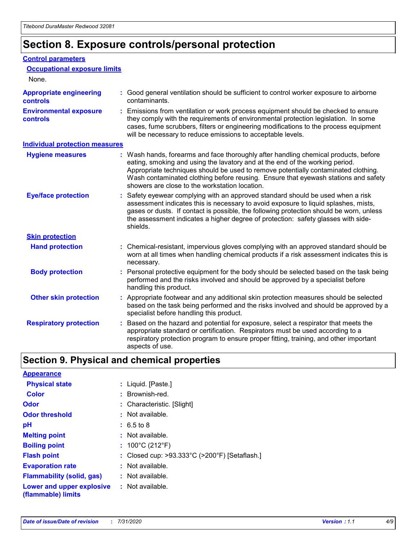# **Section 8. Exposure controls/personal protection**

#### **Control parameters**

| <b>Occupational exposure limits</b>               |                                                                                                                                                                                                                                                                                                                                                                                                   |
|---------------------------------------------------|---------------------------------------------------------------------------------------------------------------------------------------------------------------------------------------------------------------------------------------------------------------------------------------------------------------------------------------------------------------------------------------------------|
| None.                                             |                                                                                                                                                                                                                                                                                                                                                                                                   |
| <b>Appropriate engineering</b><br><b>controls</b> | : Good general ventilation should be sufficient to control worker exposure to airborne<br>contaminants.                                                                                                                                                                                                                                                                                           |
| <b>Environmental exposure</b><br><b>controls</b>  | : Emissions from ventilation or work process equipment should be checked to ensure<br>they comply with the requirements of environmental protection legislation. In some<br>cases, fume scrubbers, filters or engineering modifications to the process equipment<br>will be necessary to reduce emissions to acceptable levels.                                                                   |
| <b>Individual protection measures</b>             |                                                                                                                                                                                                                                                                                                                                                                                                   |
| <b>Hygiene measures</b>                           | : Wash hands, forearms and face thoroughly after handling chemical products, before<br>eating, smoking and using the lavatory and at the end of the working period.<br>Appropriate techniques should be used to remove potentially contaminated clothing.<br>Wash contaminated clothing before reusing. Ensure that eyewash stations and safety<br>showers are close to the workstation location. |
| <b>Eye/face protection</b>                        | : Safety eyewear complying with an approved standard should be used when a risk<br>assessment indicates this is necessary to avoid exposure to liquid splashes, mists,<br>gases or dusts. If contact is possible, the following protection should be worn, unless<br>the assessment indicates a higher degree of protection: safety glasses with side-<br>shields.                                |
| <b>Skin protection</b>                            |                                                                                                                                                                                                                                                                                                                                                                                                   |
| <b>Hand protection</b>                            | : Chemical-resistant, impervious gloves complying with an approved standard should be<br>worn at all times when handling chemical products if a risk assessment indicates this is<br>necessary.                                                                                                                                                                                                   |
| <b>Body protection</b>                            | : Personal protective equipment for the body should be selected based on the task being<br>performed and the risks involved and should be approved by a specialist before<br>handling this product.                                                                                                                                                                                               |
| <b>Other skin protection</b>                      | : Appropriate footwear and any additional skin protection measures should be selected<br>based on the task being performed and the risks involved and should be approved by a<br>specialist before handling this product.                                                                                                                                                                         |
| <b>Respiratory protection</b>                     | Based on the hazard and potential for exposure, select a respirator that meets the<br>appropriate standard or certification. Respirators must be used according to a<br>respiratory protection program to ensure proper fitting, training, and other important<br>aspects of use.                                                                                                                 |

# **Section 9. Physical and chemical properties**

| <b>Appearance</b>                                                       |                                               |
|-------------------------------------------------------------------------|-----------------------------------------------|
| <b>Physical state</b>                                                   | : Liquid. [Paste.]                            |
| <b>Color</b>                                                            | : Brownish-red.                               |
| <b>Odor</b>                                                             | : Characteristic. [Slight]                    |
| <b>Odor threshold</b>                                                   | $:$ Not available.                            |
| рH                                                                      | : 6.5 to 8                                    |
| <b>Melting point</b>                                                    | $:$ Not available.                            |
| <b>Boiling point</b>                                                    | : $100^{\circ}$ C (212 $^{\circ}$ F)          |
| <b>Flash point</b>                                                      | : Closed cup: >93.333°C (>200°F) [Setaflash.] |
| <b>Evaporation rate</b>                                                 | $:$ Not available.                            |
| <b>Flammability (solid, gas)</b>                                        | $:$ Not available.                            |
| <b>Lower and upper explosive : Not available.</b><br>(flammable) limits |                                               |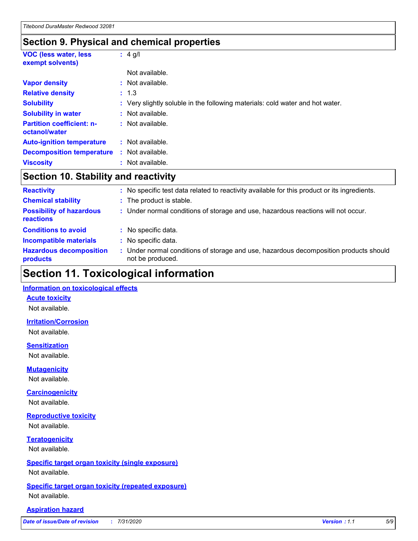### **Section 9. Physical and chemical properties**

| <b>VOC (less water, less)</b><br>exempt solvents) |    | $: 4$ g/l                                                                     |
|---------------------------------------------------|----|-------------------------------------------------------------------------------|
|                                                   |    | Not available.                                                                |
| <b>Vapor density</b>                              |    | : Not available.                                                              |
| <b>Relative density</b>                           |    | : 1.3                                                                         |
| <b>Solubility</b>                                 |    | : Very slightly soluble in the following materials: cold water and hot water. |
| <b>Solubility in water</b>                        |    | : Not available.                                                              |
| <b>Partition coefficient: n-</b><br>octanol/water |    | : Not available.                                                              |
| <b>Auto-ignition temperature</b>                  |    | : Not available.                                                              |
| <b>Decomposition temperature</b>                  | ÷. | Not available.                                                                |
| <b>Viscosity</b>                                  |    | : Not available.                                                              |

### **Section 10. Stability and reactivity**

| <b>Reactivity</b>                            | : No specific test data related to reactivity available for this product or its ingredients.              |
|----------------------------------------------|-----------------------------------------------------------------------------------------------------------|
| <b>Chemical stability</b>                    | : The product is stable.                                                                                  |
| <b>Possibility of hazardous</b><br>reactions | : Under normal conditions of storage and use, hazardous reactions will not occur.                         |
| <b>Conditions to avoid</b>                   | : No specific data.                                                                                       |
| <b>Incompatible materials</b>                | : No specific data.                                                                                       |
| <b>Hazardous decomposition</b><br>products   | : Under normal conditions of storage and use, hazardous decomposition products should<br>not be produced. |

# **Section 11. Toxicological information**

#### **Information on toxicological effects**

#### **Acute toxicity**

Not available.

#### **Irritation/Corrosion**

Not available.

#### **Sensitization**

Not available.

#### **Mutagenicity**

Not available.

#### **Carcinogenicity**

Not available.

#### **Reproductive toxicity**

Not available.

### **Teratogenicity**

Not available.

#### **Specific target organ toxicity (single exposure)**

Not available.

#### **Specific target organ toxicity (repeated exposure)** Not available.

#### **Aspiration hazard**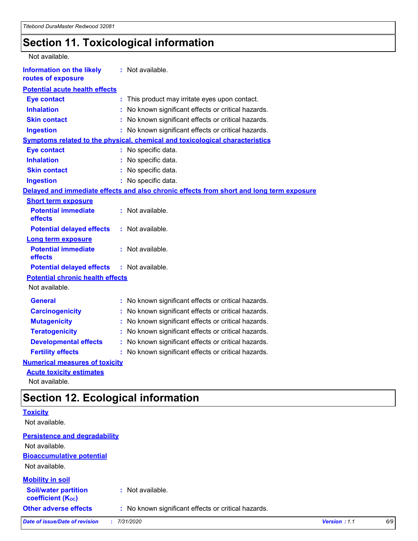# **Section 11. Toxicological information**

| Not available.                                         |                                                                                          |  |  |
|--------------------------------------------------------|------------------------------------------------------------------------------------------|--|--|
| <b>Information on the likely</b><br>routes of exposure | : Not available.                                                                         |  |  |
| <b>Potential acute health effects</b>                  |                                                                                          |  |  |
| <b>Eye contact</b>                                     | : This product may irritate eyes upon contact.                                           |  |  |
| <b>Inhalation</b>                                      | No known significant effects or critical hazards.                                        |  |  |
| <b>Skin contact</b>                                    | No known significant effects or critical hazards.                                        |  |  |
| <b>Ingestion</b>                                       | : No known significant effects or critical hazards.                                      |  |  |
|                                                        | <b>Symptoms related to the physical, chemical and toxicological characteristics</b>      |  |  |
| <b>Eye contact</b>                                     | : No specific data.                                                                      |  |  |
| <b>Inhalation</b>                                      | : No specific data.                                                                      |  |  |
| <b>Skin contact</b>                                    | : No specific data.                                                                      |  |  |
| <b>Ingestion</b>                                       | : No specific data.                                                                      |  |  |
|                                                        | Delayed and immediate effects and also chronic effects from short and long term exposure |  |  |
| <b>Short term exposure</b>                             |                                                                                          |  |  |
| <b>Potential immediate</b><br>effects                  | : Not available.                                                                         |  |  |
| <b>Potential delayed effects</b>                       | : Not available.                                                                         |  |  |
| <b>Long term exposure</b>                              |                                                                                          |  |  |
| <b>Potential immediate</b><br>effects                  | : Not available.                                                                         |  |  |
| <b>Potential delayed effects</b>                       | : Not available.                                                                         |  |  |
| <b>Potential chronic health effects</b>                |                                                                                          |  |  |
| Not available.                                         |                                                                                          |  |  |
| <b>General</b>                                         | : No known significant effects or critical hazards.                                      |  |  |
| <b>Carcinogenicity</b>                                 | No known significant effects or critical hazards.                                        |  |  |
| <b>Mutagenicity</b>                                    | No known significant effects or critical hazards.                                        |  |  |
| <b>Teratogenicity</b>                                  | No known significant effects or critical hazards.                                        |  |  |
| <b>Developmental effects</b>                           | No known significant effects or critical hazards.                                        |  |  |
| <b>Fertility effects</b>                               | No known significant effects or critical hazards.                                        |  |  |
| <b>Numerical measures of toxicity</b>                  |                                                                                          |  |  |
| <b>Acute toxicity estimates</b>                        |                                                                                          |  |  |

Not available.

# **Section 12. Ecological information**

| <b>Toxicity</b>                                         |                                                     |              |     |
|---------------------------------------------------------|-----------------------------------------------------|--------------|-----|
| Not available.                                          |                                                     |              |     |
| <b>Persistence and degradability</b>                    |                                                     |              |     |
| Not available.                                          |                                                     |              |     |
| <b>Bioaccumulative potential</b>                        |                                                     |              |     |
| Not available.                                          |                                                     |              |     |
| <b>Mobility in soil</b>                                 |                                                     |              |     |
| <b>Soil/water partition</b><br><b>coefficient (Koc)</b> | : Not available.                                    |              |     |
| <b>Other adverse effects</b>                            | : No known significant effects or critical hazards. |              |     |
| Date of issue/Date of revision                          | 7/31/2020                                           | Version: 1.1 | 6/9 |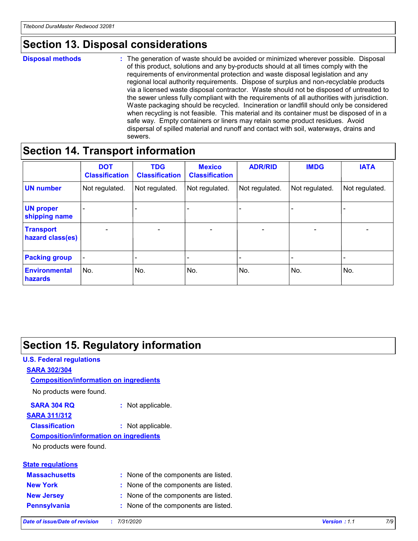# **Section 13. Disposal considerations**

#### **Disposal methods :**

The generation of waste should be avoided or minimized wherever possible. Disposal of this product, solutions and any by-products should at all times comply with the requirements of environmental protection and waste disposal legislation and any regional local authority requirements. Dispose of surplus and non-recyclable products via a licensed waste disposal contractor. Waste should not be disposed of untreated to the sewer unless fully compliant with the requirements of all authorities with jurisdiction. Waste packaging should be recycled. Incineration or landfill should only be considered when recycling is not feasible. This material and its container must be disposed of in a safe way. Empty containers or liners may retain some product residues. Avoid dispersal of spilled material and runoff and contact with soil, waterways, drains and sewers.

### **Section 14. Transport information**

|                                      | <b>DOT</b><br><b>Classification</b> | <b>TDG</b><br><b>Classification</b> | <b>Mexico</b><br><b>Classification</b> | <b>ADR/RID</b>           | <b>IMDG</b>              | <b>IATA</b>              |
|--------------------------------------|-------------------------------------|-------------------------------------|----------------------------------------|--------------------------|--------------------------|--------------------------|
| <b>UN number</b>                     | Not regulated.                      | Not regulated.                      | Not regulated.                         | Not regulated.           | Not regulated.           | Not regulated.           |
| <b>UN proper</b><br>shipping name    | $\qquad \qquad -$                   | $\qquad \qquad -$                   |                                        |                          |                          | $\overline{\phantom{0}}$ |
| <b>Transport</b><br>hazard class(es) | $\overline{\phantom{a}}$            | $\overline{\phantom{a}}$            | $\overline{\phantom{a}}$               | $\overline{\phantom{a}}$ | $\overline{\phantom{a}}$ | $\overline{\phantom{a}}$ |
| <b>Packing group</b>                 | $\overline{\phantom{a}}$            |                                     |                                        | -                        |                          | -                        |
| <b>Environmental</b><br>hazards      | No.                                 | No.                                 | No.                                    | No.                      | No.                      | No.                      |

### **Section 15. Regulatory information**

### **U.S. Federal regulations SARA 302/304 Composition/information on ingredients**

No products were found.

#### **SARA 304 RQ :** Not applicable.

### **SARA 311/312**

**Classification :** Not applicable.

#### **Composition/information on ingredients**

No products were found.

| <b>State regulations</b> |                                      |
|--------------------------|--------------------------------------|
| <b>Massachusetts</b>     | : None of the components are listed. |
| <b>New York</b>          | : None of the components are listed. |
| <b>New Jersey</b>        | : None of the components are listed. |
|                          |                                      |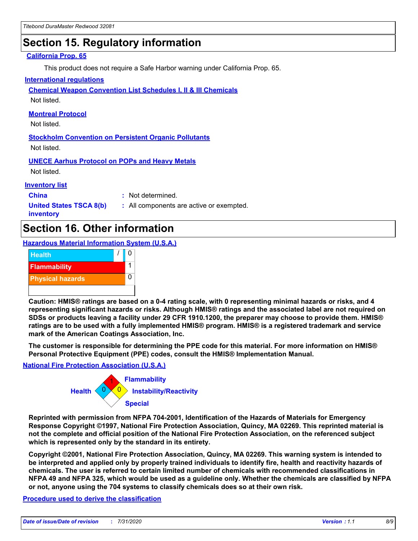# **Section 15. Regulatory information**

#### **California Prop. 65**

This product does not require a Safe Harbor warning under California Prop. 65.

#### **International regulations**

**Chemical Weapon Convention List Schedules I, II & III Chemicals**

Not listed.

#### **Montreal Protocol**

Not listed.

**Stockholm Convention on Persistent Organic Pollutants** Not listed.

**UNECE Aarhus Protocol on POPs and Heavy Metals**

Not listed.

#### **Inventory list**

**China :** Not determined.

**United States TSCA 8(b) inventory**

**:** All components are active or exempted.

### **Section 16. Other information**

**Hazardous Material Information System (U.S.A.)**



**Caution: HMIS® ratings are based on a 0-4 rating scale, with 0 representing minimal hazards or risks, and 4 representing significant hazards or risks. Although HMIS® ratings and the associated label are not required on SDSs or products leaving a facility under 29 CFR 1910.1200, the preparer may choose to provide them. HMIS® ratings are to be used with a fully implemented HMIS® program. HMIS® is a registered trademark and service mark of the American Coatings Association, Inc.**

**The customer is responsible for determining the PPE code for this material. For more information on HMIS® Personal Protective Equipment (PPE) codes, consult the HMIS® Implementation Manual.**

#### **National Fire Protection Association (U.S.A.)**



**Reprinted with permission from NFPA 704-2001, Identification of the Hazards of Materials for Emergency Response Copyright ©1997, National Fire Protection Association, Quincy, MA 02269. This reprinted material is not the complete and official position of the National Fire Protection Association, on the referenced subject which is represented only by the standard in its entirety.**

**Copyright ©2001, National Fire Protection Association, Quincy, MA 02269. This warning system is intended to be interpreted and applied only by properly trained individuals to identify fire, health and reactivity hazards of chemicals. The user is referred to certain limited number of chemicals with recommended classifications in NFPA 49 and NFPA 325, which would be used as a guideline only. Whether the chemicals are classified by NFPA or not, anyone using the 704 systems to classify chemicals does so at their own risk.**

#### **Procedure used to derive the classification**